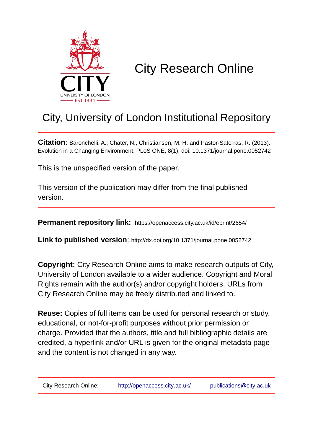

# City Research Online

## City, University of London Institutional Repository

**Citation**: Baronchelli, A., Chater, N., Christiansen, M. H. and Pastor-Satorras, R. (2013). Evolution in a Changing Environment. PLoS ONE, 8(1), doi: 10.1371/journal.pone.0052742

This is the unspecified version of the paper.

This version of the publication may differ from the final published version.

**Permanent repository link:** https://openaccess.city.ac.uk/id/eprint/2654/

**Link to published version**: http://dx.doi.org/10.1371/journal.pone.0052742

**Copyright:** City Research Online aims to make research outputs of City, University of London available to a wider audience. Copyright and Moral Rights remain with the author(s) and/or copyright holders. URLs from City Research Online may be freely distributed and linked to.

**Reuse:** Copies of full items can be used for personal research or study, educational, or not-for-profit purposes without prior permission or charge. Provided that the authors, title and full bibliographic details are credited, a hyperlink and/or URL is given for the original metadata page and the content is not changed in any way.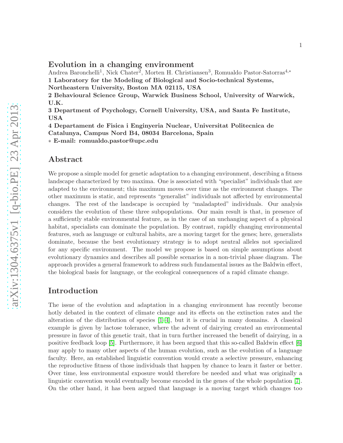## Evolution in a changing environment

Andrea Baronchelli<sup>1</sup>, Nick Chater<sup>2</sup>, Morten H. Christiansen<sup>3</sup>, Romualdo Pastor-Satorras<sup>4,∗</sup> 1 Laboratory for the Modeling of Biological and Socio-technical Systems, Northeastern University, Boston MA 02115, USA

2 Behavioural Science Group, Warwick Business School, University of Warwick, U.K.

3 Department of Psychology, Cornell University, USA, and Santa Fe Institute, USA

4 Departament de Fisica i Enginyeria Nuclear, Universitat Politecnica de Catalunya, Campus Nord B4, 08034 Barcelona, Spain

∗ E-mail: romualdo.pastor@upc.edu

### Abstract

We propose a simple model for genetic adaptation to a changing environment, describing a fitness landscape characterized by two maxima. One is associated with "specialist" individuals that are adapted to the environment; this maximum moves over time as the environment changes. The other maximum is static, and represents "generalist" individuals not affected by environmental changes. The rest of the landscape is occupied by "maladapted" individuals. Our analysis considers the evolution of these three subpopulations. Our main result is that, in presence of a sufficiently stable environmental feature, as in the case of an unchanging aspect of a physical habitat, specialists can dominate the population. By contrast, rapidly changing environmental features, such as language or cultural habits, are a moving target for the genes; here, generalists dominate, because the best evolutionary strategy is to adopt neutral alleles not specialized for any specific environment. The model we propose is based on simple assumptions about evolutionary dynamics and describes all possible scenarios in a non-trivial phase diagram. The approach provides a general framework to address such fundamental issues as the Baldwin effect, the biological basis for language, or the ecological consequences of a rapid climate change.

## Introduction

The issue of the evolution and adaptation in a changing environment has recently become hotly debated in the context of climate change and its effects on the extinction rates and the alteration of the distribution of species  $[1-4]$  $[1-4]$ , but it is crucial in many domains. A classical example is given by lactose tolerance, where the advent of dairying created an environmental pressure in favor of this genetic trait, that in turn further increased the benefit of dairying, in a positive feedback loop [\[5\]](#page-11-1). Furthermore, it has been argued that this so-called Baldwin effect [\[6\]](#page-11-2) may apply to many other aspects of the human evolution, such as the evolution of a language faculty. Here, an established linguistic convention would create a selective pressure, enhancing the reproductive fitness of those individuals that happen by chance to learn it faster or better. Over time, less environmental exposure would therefore be needed and what was originally a linguistic convention would eventually become encoded in the genes of the whole population [\[7\]](#page-11-3). On the other hand, it has been argued that language is a moving target which changes too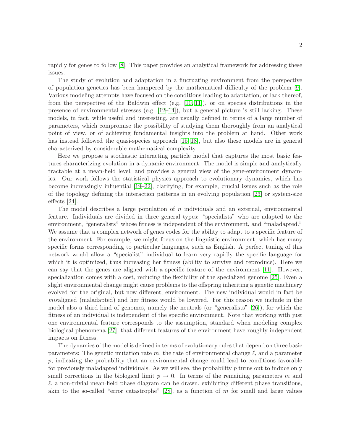rapidly for genes to follow [\[8\]](#page-11-4). This paper provides an analytical framework for addressing these issues.

The study of evolution and adaptation in a fluctuating environment from the perspective of population genetics has been hampered by the mathematical difficulty of the problem [\[9\]](#page-11-5). Various modeling attempts have focused on the conditions leading to adaptation, or lack thereof, from the perspective of the Baldwin effect (e.g.  $[10, 11]$  $[10, 11]$ ), or on species distributions in the presence of environmental stresses (e.g.  $[12-14]$  $[12-14]$ ), but a general picture is still lacking. These models, in fact, while useful and interesting, are usually defined in terms of a large number of parameters, which compromise the possibility of studying them thoroughly from an analytical point of view, or of achieving fundamental insights into the problem at hand. Other work has instead followed the quasi-species approach [\[15](#page-11-10)[–18\]](#page-11-11), but also these models are in general characterized by considerable mathematical complexity.

Here we propose a stochastic interacting particle model that captures the most basic features characterizing evolution in a dynamic environment. The model is simple and analytically tractable at a mean-field level, and provides a general view of the gene-environment dynamics. Our work follows the statistical physics approach to evolutionary dynamics, which has become increasingly influential [\[19–](#page-12-0)[22\]](#page-12-1), clarifying, for example, crucial issues such as the role of the topology defining the interaction patterns in an evolving population [\[23\]](#page-12-2) or system-size effects [\[24\]](#page-12-3).

The model describes a large population of  $n$  individuals and an external, environmental feature. Individuals are divided in three general types: "specialists" who are adapted to the environment, "generalists" whose fitness is independent of the environment, and "maladapted." We assume that a complex network of genes codes for the ability to adapt to a specific feature of the environment. For example, we might focus on the linguistic environment, which has many specific forms corresponding to particular languages, such as English. A perfect tuning of this network would allow a "specialist" individual to learn very rapidly the specific language for which it is optimized, thus increasing her fitness (ability to survive and reproduce). Here we can say that the genes are aligned with a specific feature of the environment [\[11\]](#page-11-7). However, specialization comes with a cost, reducing the flexibility of the specialized genome [\[25\]](#page-12-4). Even a slight environmental change might cause problems to the offspring inheriting a genetic machinery evolved for the original, but now different, environment. The new individual would in fact be misaligned (maladapted) and her fitness would be lowered. For this reason we include in the model also a third kind of genomes, namely the neutrals (or "generalists" [\[26\]](#page-12-5)), for which the fitness of an individual is independent of the specific environment. Note that working with just one environmental feature corresponds to the assumption, standard when modeling complex biological phenomena [\[27\]](#page-12-6), that different features of the environment have roughly independent impacts on fitness.

The dynamics of the model is defined in terms of evolutionary rules that depend on three basic parameters: The genetic mutation rate m, the rate of environmental change  $\ell$ , and a parameter  $p$ , indicating the probability that an environmental change could lead to conditions favorable for previously maladapted individuals. As we will see, the probability  $p$  turns out to induce only small corrections in the biological limit  $p \to 0$ . In terms of the remaining parameters m and  $\ell$ , a non-trivial mean-field phase diagram can be drawn, exhibiting different phase transitions, akin to the so-called "error catastrophe"  $[28]$ , as a function of m for small and large values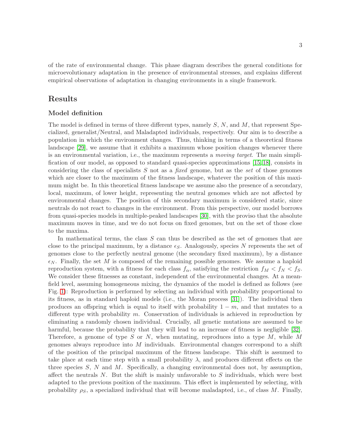of the rate of environmental change. This phase diagram describes the general conditions for microevolutionary adaptation in the presence of environmental stresses, and explains different empirical observations of adaptation in changing environments in a single framework.

## Results

#### Model definition

The model is defined in terms of three different types, namely  $S$ ,  $N$ , and  $M$ , that represent Specialized, generalist/Neutral, and Maladapted individuals, respectively. Our aim is to describe a population in which the environment changes. Thus, thinking in terms of a theoretical fitness landscape [\[29\]](#page-12-8), we assume that it exhibits a maximum whose position changes whenever there is an environmental variation, i.e., the maximum represents a moving target. The main simplification of our model, as opposed to standard quasi-species approximations [\[15,](#page-11-10) [18\]](#page-11-11), consists in considering the class of specialists  $S$  not as a *fixed* genome, but as the set of those genomes which are closer to the maximum of the fitness landscape, whatever the position of this maximum might be. In this theoretical fitness landscape we assume also the presence of a secondary, local, maximum, of lower height, representing the neutral genomes which are not affected by environmental changes. The position of this secondary maximum is considered static, since neutrals do not react to changes in the environment. From this perspective, our model borrows from quasi-species models in multiple-peaked landscapes [\[30\]](#page-12-9), with the proviso that the absolute maximum moves in time, and we do not focus on fixed genomes, but on the set of those close to the maxima.

In mathematical terms, the class  $S$  can thus be described as the set of genomes that are close to the principal maximum, by a distance  $\epsilon_S$ . Analogously, species N represents the set of genomes close to the perfectly neutral genome (the secondary fixed maximum), by a distance  $\epsilon_N$ . Finally, the set M is composed of the remaining possible genomes. We assume a haploid reproduction system, with a fitness for each class  $f_{\alpha}$ , satisfying the restriction  $f_M < f_N < f_S$ . We consider these fitnesses as constant, independent of the environmental changes. At a meanfield level, assuming homogeneous mixing, the dynamics of the model is defined as follows (see Fig. [1\)](#page-14-0): Reproduction is performed by selecting an individual with probability proportional to its fitness, as in standard haploid models (i.e., the Moran process [\[31\]](#page-12-10)). The individual then produces an offspring which is equal to itself with probability  $1 - m$ , and that mutates to a different type with probability  $m$ . Conservation of individuals is achieved in reproduction by eliminating a randomly chosen individual. Crucially, all genetic mutations are assumed to be harmful, because the probability that they will lead to an increase of fitness is negligible [\[32\]](#page-12-11). Therefore, a genome of type S or N, when mutating, reproduces into a type  $M$ , while M genomes always reproduce into  $M$  individuals. Environmental changes correspond to a shift of the position of the principal maximum of the fitness landscape. This shift is assumed to take place at each time step with a small probability  $\lambda$ , and produces different effects on the three species  $S, N$  and M. Specifically, a changing environmental does not, by assumption, affect the neutrals  $N$ . But the shift is mainly unfavorable to  $S$  individuals, which were best adapted to the previous position of the maximum. This effect is implemented by selecting, with probability  $\rho_S$ , a specialized individual that will become maladapted, i.e., of class M. Finally,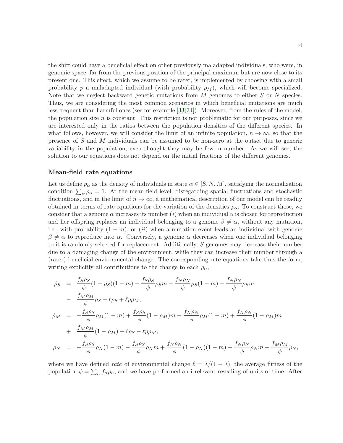the shift could have a beneficial effect on other previously maladapted individuals, who were, in genomic space, far from the previous position of the principal maximum but are now close to its present one. This effect, which we assume to be rarer, is implemented by choosing with a small probability p a maladapted individual (with probability  $\rho_M$ ), which will become specialized. Note that we neglect backward genetic mutations from M genomes to either S or N species. Thus, we are considering the most common scenarios in which beneficial mutations are much less frequent than harmful ones (see for example [\[33,](#page-12-12)[34\]](#page-12-13)). Moreover, from the rules of the model, the population size  $n$  is constant. This restriction is not problematic for our purposes, since we are interested only in the ratios between the population densities of the different species. In what follows, however, we will consider the limit of an infinite population,  $n \to \infty$ , so that the presence of S and M individuals can be assumed to be non-zero at the outset due to generic variability in the population, even thought they may be few in number. As we will see, the solution to our equations does not depend on the initial fractions of the different genomes.

#### Mean-field rate equations

Let us define  $\rho_{\alpha}$  as the density of individuals in state  $\alpha \in [S, N, M]$ , satisfying the normalization condition  $\sum_{\alpha} \rho_{\alpha} = 1$ . At the mean-field level, disregarding spatial fluctuations and stochastic fluctuations, and in the limit of  $n \to \infty$ , a mathematical description of our model can be readily obtained in terms of rate equations for the variation of the densities  $\rho_{\alpha}$ . To construct those, we consider that a genome  $\alpha$  increases its number (i) when an individual  $\alpha$  is chosen for reproduction and her offspring replaces an individual belonging to a genome  $\beta \neq \alpha$ , without any mutation, i.e., with probability  $(1 - m)$ , or  $(ii)$  when a mutation event leads an individual with genome  $\beta \neq \alpha$  to reproduce into  $\alpha$ . Conversely, a genome  $\alpha$  decreases when one individual belonging to it is randomly selected for replacement. Additionally, S genomes may decrease their number due to a damaging change of the environment, while they can increase their number through a (rarer) beneficial environmental change. The corresponding rate equations take thus the form, writing explicitly all contributions to the change to each  $\rho_{\alpha}$ ,

$$
\dot{\rho}_{S} = \frac{f_{S}\rho_{S}}{\phi}(1-\rho_{S})(1-m) - \frac{f_{S}\rho_{S}}{\phi}\rho_{S}m - \frac{f_{N}\rho_{N}}{\phi}\rho_{S}(1-m) - \frac{f_{N}\rho_{N}}{\phi}\rho_{S}m
$$
\n
$$
- \frac{f_{M}\rho_{M}}{\phi}\rho_{S} - \ell\rho_{S} + \ell p\rho_{M},
$$
\n
$$
\dot{\rho}_{M} = -\frac{f_{S}\rho_{S}}{\phi}\rho_{M}(1-m) + \frac{f_{S}\rho_{S}}{\phi}(1-\rho_{M})m - \frac{f_{N}\rho_{N}}{\phi}\rho_{M}(1-m) + \frac{f_{N}\rho_{N}}{\phi}(1-\rho_{M})m
$$
\n
$$
+ \frac{f_{M}\rho_{M}}{\phi}(1-\rho_{M}) + \ell\rho_{S} - \ell p\rho_{M},
$$
\n
$$
\dot{\rho}_{N} = -\frac{f_{S}\rho_{S}}{\phi}\rho_{N}(1-m) - \frac{f_{S}\rho_{S}}{\phi}\rho_{N}m + \frac{f_{N}\rho_{N}}{\phi}(1-\rho_{N})(1-m) - \frac{f_{N}\rho_{N}}{\phi}\rho_{N}m - \frac{f_{M}\rho_{M}}{\phi}\rho_{N},
$$

where we have defined rate of environmental change  $\ell = \lambda/(1-\lambda)$ , the average fitness of the population  $\phi = \sum_{\alpha} f_{\alpha} \rho_{\alpha}$ , and we have performed an irrelevant rescaling of units of time. After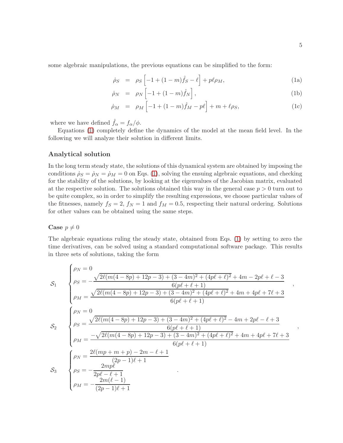some algebraic manipulations, the previous equations can be simplified to the form:

<span id="page-5-0"></span>
$$
\dot{\rho}_S = \rho_S \left[ -1 + (1 - m)\hat{f}_S - \ell \right] + p\ell\rho_M, \tag{1a}
$$

$$
\dot{\rho}_N = \rho_N \left[ -1 + (1 - m)\hat{f}_N \right], \tag{1b}
$$

$$
\dot{\rho}_M = \rho_M \left[ -1 + (1 - m)\hat{f}_M - p\ell \right] + m + \ell \rho_S, \tag{1c}
$$

where we have defined  $\hat{f}_{\alpha} = f_{\alpha}/\phi$ .

Equations [\(1\)](#page-5-0) completely define the dynamics of the model at the mean field level. In the following we will analyze their solution in different limits.

#### Analytical solution

In the long term steady state, the solutions of this dynamical system are obtained by imposing the conditions  $\dot{\rho}_S = \dot{\rho}_M = 0$  on Eqs. [\(1\)](#page-5-0), solving the ensuing algebraic equations, and checking for the stability of the solutions, by looking at the eigenvalues of the Jacobian matrix, evaluated at the respective solution. The solutions obtained this way in the general case  $p > 0$  turn out to be quite complex, so in order to simplify the resulting expressions, we choose particular values of the fitnesses, namely  $f_S = 2$ ,  $f_N = 1$  and  $f_M = 0.5$ , respecting their natural ordering. Solutions for other values can be obtained using the same steps.

#### Case  $p \neq 0$

The algebraic equations ruling the steady state, obtained from Eqs. [\(1\)](#page-5-0) by setting to zero the time derivatives, can be solved using a standard computational software package. This results in three sets of solutions, taking the form

$$
\mathcal{S}_{1} \quad\n\begin{cases}\n\rho_{N} = 0 \\
\rho_{S} = -\frac{\sqrt{2\ell(m(4-8p)+12p-3)+(3-4m)^{2}+(4p\ell+\ell)^{2}}+4m-2p\ell+\ell-3}{6(p\ell+\ell+1)} \\
\rho_{M} = \frac{\sqrt{2\ell(m(4-8p)+12p-3)+(3-4m)^{2}+(4p\ell+\ell)^{2}}+4m+4p\ell+7\ell+3}{6(p\ell+\ell+1)} \\
\rho_{S} = \frac{\sqrt{2\ell(m(4-8p)+12p-3)+(3-4m)^{2}+(4p\ell+\ell)^{2}}-4m+2p\ell-\ell+3}{6(p\ell+\ell+1)} \\
\rho_{M} = \frac{-\sqrt{2\ell(m(4-8p)+12p-3)+(3-4m)^{2}+(4p\ell+\ell)^{2}}+4m+4p\ell+7\ell+3}{6(p\ell+\ell+1)} \\
\rho_{N} = \frac{2\ell(mp+m+p)-2m-\ell+1}{(2p-1)\ell+1} \\
\rho_{M} = -\frac{2mp\ell}{2p\ell-\ell+1} \\
\rho_{M} = -\frac{2m(\ell-1)}{(2p-1)\ell+1}\n\end{cases}
$$

,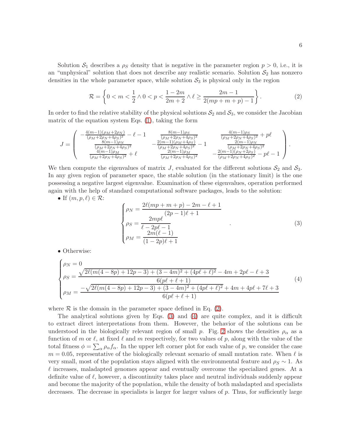Solution  $S_1$  describes a  $\rho_S$  density that is negative in the parameter region  $p > 0$ , i.e., it is an "unphysical" solution that does not describe any realistic scenario. Solution  $S_2$  has nonzero densities in the whole parameter space, while solution  $S_3$  is physical only in the region

<span id="page-6-0"></span>
$$
\mathcal{R} = \left\{ 0 < m < \frac{1}{2} \land 0 < p < \frac{1 - 2m}{2m + 2} \land \ell \ge \frac{2m - 1}{2(mp + m + p) - 1} \right\}.\tag{2}
$$

In order to find the relative stability of the physical solutions  $S_2$  and  $S_3$ , we consider the Jacobian matrix of the equation system Eqs. [\(1\)](#page-5-0), taking the form

$$
J = \begin{pmatrix} -\frac{4(m-1)(\rho_M + 2\rho_N)}{(\rho_M + 2\rho_N + 4\rho_S)^2} - \ell - 1 & \frac{8(m-1)\rho_S}{(\rho_M + 2\rho_N + 4\rho_S)^2} & \frac{4(m-1)\rho_S}{(\rho_M + 2\rho_N + 4\rho_S)^2} + p\ell \\ \frac{8(m-1)\rho_N}{(\rho_M + 2\rho_N + 4\rho_S)^2} & -\frac{2(m-1)(\rho_M + 4\rho_S)}{(\rho_M + 2\rho_N + 4\rho_S)^2} - 1 & \frac{2(m-1)\rho_N}{(\rho_M + 2\rho_N + 4\rho_S)^2} \\ \frac{4(m-1)\rho_M}{(\rho_M + 2\rho_N + 4\rho_S)^2} + \ell & \frac{2(m-1)\rho_M}{(\rho_M + 2\rho_N + 4\rho_S)^2} & -\frac{2(m-1)(\rho_N + 2\rho_S)}{(\rho_M + 2\rho_N + 4\rho_S)^2} - p\ell - 1 \end{pmatrix}.
$$

We then compute the eigenvalues of matrix J, evaluated for the different solutions  $S_2$  and  $S_3$ . In any given region of parameter space, the stable solution (in the stationary limit) is the one possessing a negative largest eigenvalue. Examination of these eigenvalues, operation performed again with the help of standard computational software packages, leads to the solution:

• If 
$$
(m, p, \ell) \in \mathcal{R}
$$
:

<span id="page-6-1"></span>
$$
\begin{cases}\n\rho_N = \frac{2\ell (mp + m + p) - 2m - \ell + 1}{(2p - 1)\ell + 1} \\
\rho_S = \frac{2mp\ell}{\ell - 2p\ell - 1} \\
\rho_M = \frac{2m(\ell - 1)}{(1 - 2p)\ell + 1}\n\end{cases} (3)
$$

• Otherwise:

<span id="page-6-2"></span>
$$
\begin{cases}\n\rho_N = 0 \\
\rho_S = \frac{\sqrt{2\ell(m(4-8p)+12p-3)+(3-4m)^2+(4p\ell+\ell)^2}-4m+2p\ell-\ell+3}{6(p\ell+\ell+1)} \\
\rho_M = \frac{-\sqrt{2\ell(m(4-8p)+12p-3)+(3-4m)^2+(4p\ell+\ell)^2}+4m+4p\ell+7\ell+3}{6(p\ell+\ell+1)}\n\end{cases} (4)
$$

where  $R$  is the domain in the parameter space defined in Eq. [\(2\)](#page-6-0).

The analytical solutions given by Eqs. [\(3\)](#page-6-1) and [\(4\)](#page-6-2) are quite complex, and it is difficult to extract direct interpretations from them. However, the behavior of the solutions can be understood in the biologically relevant region of small p. Fig. [2](#page-15-0) shows the densities  $\rho_{\alpha}$  as a function of m or  $\ell$ , at fixed  $\ell$  and m respectively, for two values of p, along with the value of the total fitness  $\phi = \sum_{\alpha} \rho_{\alpha} f_{\alpha}$ . In the upper left corner plot for each value of p, we consider the case  $m = 0.05$ , representative of the biologically relevant scenario of small mutation rate. When  $\ell$  is very small, most of the population stays aligned with the environmental feature and  $\rho_S \sim 1$ . As  $\ell$  increases, maladapted genomes appear and eventually overcome the specialized genes. At a definite value of  $\ell$ , however, a discontinuity takes place and neutral individuals suddenly appear and become the majority of the population, while the density of both maladapted and specialists decreases. The decrease in specialists is larger for larger values of p. Thus, for sufficiently large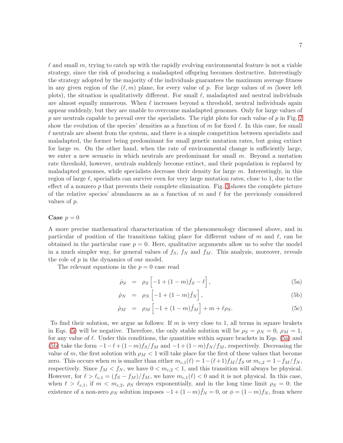7

 $\ell$  and small m, trying to catch up with the rapidly evolving environmental feature is not a viable strategy, since the risk of producing a maladapted offspring becomes destructive. Interestingly the strategy adopted by the majority of the individuals guarantees the maximum average fitness in any given region of the  $(\ell, m)$  plane, for every value of p. For large values of m (lower left plots), the situation is qualitatively different. For small  $\ell$ , maladapted and neutral individuals are almost equally numerous. When  $\ell$  increases beyond a threshold, neutral individuals again appear suddenly, but they are unable to overcome maladapted genomes. Only for large values of  $p$  are neutrals capable to prevail over the specialists. The right plots for each value of  $p$  in Fig. [2](#page-15-0) show the evolution of the species' densities as a function of m for fixed  $\ell$ . In this case, for small  $\ell$  neutrals are absent from the system, and there is a simple competition between specialists and maladapted, the former being predominant for small genetic mutation rates, but going extinct for large  $m$ . On the other hand, when the rate of environmental change is sufficiently large, we enter a new scenario in which neutrals are predominant for small  $m$ . Beyond a mutation rate threshold, however, neutrals suddenly become extinct, and their population is replaced by maladapted genomes, while specialists decrease their density for large  $m$ . Interestingly, in this region of large  $\ell$ , specialists can survive even for very large mutation rates, close to 1, due to the effect of a nonzero  $p$  that prevents their complete elimination. Fig. [3](#page-15-1) shows the complete picture of the relative species' abundances as as a function of m and  $\ell$  for the previously considered values of p.

#### Case  $p = 0$

A more precise mathematical characterization of the phenomenology discussed above, and in particular of position of the transitions taking place for different values of m and  $\ell$ , can be obtained in the particular case  $p = 0$ . Here, qualitative arguments allow us to solve the model in a much simpler way, for general values of  $f_s$ ,  $f_N$  and  $f_M$ . This analysis, moreover, reveals the role of p in the dynamics of our model.

The relevant equations in the  $p = 0$  case read

<span id="page-7-0"></span>
$$
\dot{\rho}_S = \rho_S \left[ -1 + (1 - m)\hat{f}_S - \ell \right],\tag{5a}
$$

$$
\dot{\rho}_N = \rho_N \left[ -1 + (1 - m)\hat{f}_N \right],\tag{5b}
$$

$$
\dot{\rho}_M = \rho_M \left[ -1 + (1 - m)\hat{f}_M \right] + m + \ell \rho_S. \tag{5c}
$$

To find their solution, we argue as follows: If  $m$  is very close to 1, all terms in square brakets in Eqs. [\(5\)](#page-7-0) will be negative. Therefore, the only stable solution will be  $\rho_S = \rho_N = 0$ ,  $\rho_M = 1$ , for any value of  $\ell$ . Under this conditions, the quantities within square brackets in Eqs. [\(5a\)](#page-7-0) and [\(5b\)](#page-7-0) take the form  $-1-\ell+(1-m)f_S/f_M$  and  $-1+(1-m)f_N/f_M$ , respectively. Decreasing the value of m, the first solution with  $\rho_M < 1$  will take place for the first of these values that become zero. This occurs when m is smaller than either  $m_{c,1}(\ell) = 1-(\ell+1)f_M/f_S$  or  $m_{c,2} = 1-f_M/f_N$ , respectively. Since  $f_M < f_N$ , we have  $0 < m_{c,2} < 1$ , and this transition will always be physical. However, for  $\ell > \ell_{c,1} = (f_S - f_M)/f_M$ , we have  $m_{c,1}(\ell) < 0$  and it is not physical. In this case, when  $\ell > \ell_{c,1}$ , if  $m < m_{c,2}$ ,  $\rho_S$  decays exponentially, and in the long time limit  $\rho_S = 0$ ; the existence of a non-zero  $\rho_N$  solution imposes  $-1 + (1 - m)\hat{f}_N = 0$ , or  $\phi = (1 - m)f_N$ , from where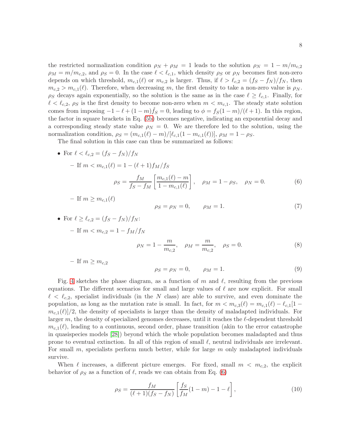the restricted normalization condition  $\rho_N + \rho_M = 1$  leads to the solution  $\rho_N = 1 - m/m_{c,2}$  $\rho_M = m/m_{c,2}$ , and  $\rho_S = 0$ . In the case  $\ell < \ell_{c,1}$ , which density  $\rho_S$  or  $\rho_N$  becomes first non-zero depends on which threshold,  $m_{c,1}(\ell)$  or  $m_{c,2}$  is larger. Thus, if  $\ell > \ell_{c,2} = (fs - f_N)/f_N$ , then  $m_{c,2} > m_{c,1}(\ell)$ . Therefore, when decreasing m, the first density to take a non-zero value is  $\rho_N$ .  $\rho_S$  decays again exponentially, so the solution is the same as in the case  $\ell \geq \ell_{c,1}$ . Finally, for  $\ell < \ell_{c,2}, \rho_S$  is the first density to become non-zero when  $m < m_{c,1}$ . The steady state solution comes from imposing  $-1 - \ell + (1 - m)\hat{f}_s = 0$ , leading to  $\phi = f_s(1 - m)/(\ell + 1)$ . In this region, the factor in square brackets in Eq. [\(5b\)](#page-7-0) becomes negative, indicating an exponential decay and a corresponding steady state value  $\rho_N = 0$ . We are therefore led to the solution, using the normalization condition,  $\rho_S = (m_{c,1}(\ell) - m)/[\ell_{c,1}(1 - m_{c,1}(\ell))], \rho_M = 1 - \rho_S.$ 

The final solution in this case can thus be summarized as follows:

• For 
$$
\ell < \ell_{c,2} = (f_S - f_N)/f_N
$$
  
\n- If  $m < m_{c,1}(\ell) = 1 - (\ell + 1)f_M/f_S$   
\n
$$
\rho_S = \frac{f_M}{f_S - f_M} \left[ \frac{m_{c,1}(\ell) - m}{1 - m_{c,1}(\ell)} \right], \quad \rho_M = 1 - \rho_S, \quad \rho_N = 0.
$$
\n(6)

<span id="page-8-0"></span>
$$
- \text{ If } m \geq m_{c,1}(\ell)
$$

$$
\rho_S = \rho_N = 0, \qquad \rho_M = 1. \tag{7}
$$

• For 
$$
\ell \ge \ell_{c,2} = (f_S - f_N)/f_N
$$
:  
\n- If  $m < m_{c,2} = 1 - f_M/f_N$   
\n $\rho_N = 1 - \frac{m}{m_{c,2}}, \quad \rho_M = \frac{m}{m_{c,2}}, \quad \rho_S = 0.$  (8)  
\n- If  $m \ge m_{c,2}$ 

$$
\rho_S = \rho_N = 0, \qquad \rho_M = 1. \tag{9}
$$

Fig. [4](#page-16-0) sketches the phase diagram, as a function of m and  $\ell$ , resulting from the previous equations. The different scenarios for small and large values of  $\ell$  are now explicit. For small  $\ell < \ell_{c,2}$ , specialist individuals (in the N class) are able to survive, and even dominate the population, as long as the mutation rate is small. In fact, for  $m < m_{c,3}(\ell) = m_{c,1}(\ell) - \ell_{c,1}[1 m_{c,1}(\ell)/2$ , the density of specialists is larger than the density of maladapted individuals. For larger m, the density of specialized genomes decreases, until it reaches the  $\ell$ -dependent threshold  $m_{c,1}(\ell)$ , leading to a continuous, second order, phase transition (akin to the error catastrophe in quasispecies models [\[28\]](#page-12-7)) beyond which the whole population becomes maladapted and thus prone to eventual extinction. In all of this region of small  $\ell$ , neutral individuals are irrelevant. For small  $m$ , specialists perform much better, while for large  $m$  only maladapted individuals survive.

When  $\ell$  increases, a different picture emerges. For fixed, small  $m < m_{c,2}$ , the explicit behavior of  $\rho_S$  as a function of  $\ell$ , reads we can obtain from Eq. [\(6\)](#page-8-0)

$$
\rho_S = \frac{f_M}{(\ell+1)(f_S - f_N)} \left[ \frac{f_S}{f_M} (1 - m) - 1 - \ell \right],\tag{10}
$$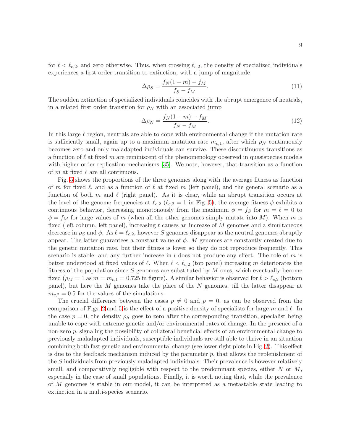for  $\ell < \ell_{c,2}$ , and zero otherwise. Thus, when crossing  $\ell_{c,2}$ , the density of specialized individuals experiences a first order transition to extinction, with a jump of magnitude

$$
\Delta \rho_S = \frac{f_N(1-m) - f_M}{f_S - f_M}.\tag{11}
$$

The sudden extinction of specialized individuals coincides with the abrupt emergence of neutrals, in a related first order transition for  $\rho_N$  with an associated jump

$$
\Delta \rho_N = \frac{f_N(1-m) - f_M}{f_N - f_M}.\tag{12}
$$

In this large  $\ell$  region, neutrals are able to cope with environmental change if the mutation rate is sufficiently small, again up to a maximum mutation rate  $m_{c,1}$ , after which  $\rho_N$  continuously becomes zero and only maladapted individuals can survive. These discontinuous transitions as a function of  $\ell$  at fixed m are reminiscent of the phenomenology observed in quasispecies models with higher order replication mechanisms [\[35\]](#page-13-0). We note, however, that transition as a function of m at fixed  $\ell$  are all continuous.

Fig. [5](#page-16-1) shows the proportions of the three genomes along with the average fitness as function of m for fixed  $\ell$ , and as a function of  $\ell$  at fixed m (left panel), and the general scenario as a function of both m and  $\ell$  (right panel). As it is clear, while an abrupt transition occurs at the level of the genome frequencies at  $\ell_{c,2}$  ( $\ell_{c,2} = 1$  in Fig. [5\)](#page-16-1), the average fitness  $\phi$  exhibits a continuous behavior, decreasing monotonously from the maximum  $\phi = f_S$  for  $m = \ell = 0$  to  $\phi = f_M$  for large values of m (when all the other genomes simply mutate into M). When m is fixed (left column, left panel), increasing  $\ell$  causes an increase of M genomes and a simultaneous decrease in  $\rho_S$  and  $\phi$ . As  $\ell = \ell_{c,2}$ , however S genomes disappear as the neutral genomes abruptly appear. The latter guarantees a constant value of  $\phi$ . M genomes are constantly created due to the genetic mutation rate, but their fitness is lower so they do not reproduce frequently. This scenario is stable, and any further increase in  $l$  does not produce any effect. The role of m is better understood at fixed values of  $\ell$ . When  $\ell < \ell_{c,2}$  (top panel) increasing m deteriorates the fitness of the population since S genomes are substituted by  $M$  ones, which eventually become fixed  $(\rho_M = 1 \text{ as } m = m_{c,1} = 0.725 \text{ in figure})$ . A similar behavior is observed for  $\ell > \ell_{c,2}$  (bottom panel), but here the M genomes take the place of the N genomes, till the latter disappear at  $m_{c,2} = 0.5$  for the values of the simulations.

The crucial difference between the cases  $p \neq 0$  and  $p = 0$ , as can be observed from the comparison of Figs. [2](#page-15-0) and [5](#page-16-1) is the effect of a positive density of specialists for large m and  $\ell$ . In the case  $p = 0$ , the density  $\rho_s$  goes to zero after the corresponding transition, specialist being unable to cope with extreme genetic and/or environmental rates of change. In the presence of a non-zero p, signaling the possibility of collateral beneficial effects of an environmental change to previously maladapted individuals, susceptible individuals are still able to thrive in an situation combining both fast genetic and environmental change (see lower right plots in Fig. [2\)](#page-15-0). This effect is due to the feedback mechanism induced by the parameter  $p$ , that allows the replenishment of the S individuals from previously maladapted individuals. Their prevalence is however relatively small, and comparatively negligible with respect to the predominant species, either  $N$  or  $M$ , especially in the case of small populations. Finally, it is worth noting that, while the prevalence of M genomes is stable in our model, it can be interpreted as a metastable state leading to extinction in a multi-species scenario.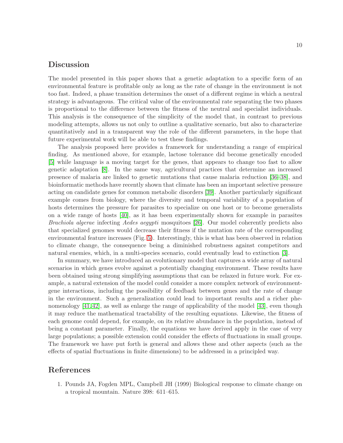## Discussion

The model presented in this paper shows that a genetic adaptation to a specific form of an environmental feature is profitable only as long as the rate of change in the environment is not too fast. Indeed, a phase transition determines the onset of a different regime in which a neutral strategy is advantageous. The critical value of the environmental rate separating the two phases is proportional to the difference between the fitness of the neutral and specialist individuals. This analysis is the consequence of the simplicity of the model that, in contrast to previous modeling attempts, allows us not only to outline a qualitative scenario, but also to characterize quantitatively and in a transparent way the role of the different parameters, in the hope that future experimental work will be able to test these findings.

The analysis proposed here provides a framework for understanding a range of empirical finding. As mentioned above, for example, lactose tolerance did become genetically encoded [\[5\]](#page-11-1) while language is a moving target for the genes, that appears to change too fast to allow genetic adaptation [\[8\]](#page-11-4). In the same way, agricultural practices that determine an increased presence of malaria are linked to genetic mutations that cause malaria reduction [\[36](#page-13-1)[–38\]](#page-13-2), and bioinformatic methods have recently shown that climate has been an important selective pressure acting on candidate genes for common metabolic disorders [\[39\]](#page-13-3). Another particularly significant example comes from biology, where the diversity and temporal variability of a population of hosts determines the pressure for parasites to specialize on one host or to become generalists on a wide range of hosts [\[40\]](#page-13-4), as it has been experimentally shown for example in parasites Brachiola algerae infecting Aedes aegypti mosquitoes [\[26\]](#page-12-5). Our model coherently predicts also that specialized genomes would decrease their fitness if the mutation rate of the corresponding environmental feature increases (Fig. [5\)](#page-16-1). Interestingly, this is what has been observed in relation to climate change, the consequence being a diminished robustness against competitors and natural enemies, which, in a multi-species scenario, could eventually lead to extinction [\[3\]](#page-11-12).

In summary, we have introduced an evolutionary model that captures a wide array of natural scenarios in which genes evolve against a potentially changing environment. These results have been obtained using strong simplifying assumptions that can be relaxed in future work. For example, a natural extension of the model could consider a more complex network of environmentgene interactions, including the possibility of feedback between genes and the rate of change in the environment. Such a generalization could lead to important results and a richer phenomenology [\[41,](#page-13-5) [42\]](#page-13-6), as well as enlarge the range of applicability of the model [\[43\]](#page-13-7), even though it may reduce the mathematical tractability of the resulting equations. Likewise, the fitness of each genome could depend, for example, on its relative abundance in the population, instead of being a constant parameter. Finally, the equations we have derived apply in the case of very large populations; a possible extension could consider the effects of fluctuations in small groups. The framework we have put forth is general and allows these and other aspects (such as the effects of spatial fluctuations in finite dimensions) to be addressed in a principled way.

## <span id="page-10-0"></span>References

1. Pounds JA, Fogden MPL, Campbell JH (1999) Biological response to climate change on a tropical mountain. Nature 398: 611–615.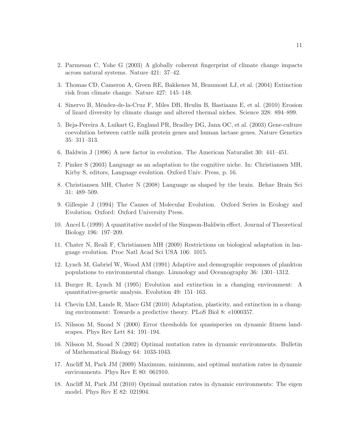- <span id="page-11-12"></span>2. Parmesan C, Yohe G (2003) A globally coherent fingerprint of climate change impacts across natural systems. Nature 421: 37–42.
- <span id="page-11-0"></span>3. Thomas CD, Cameron A, Green RE, Bakkenes M, Beaumont LJ, et al. (2004) Extinction risk from climate change. Nature 427: 145–148.
- <span id="page-11-1"></span>4. Sinervo B, M´endez-de-la-Cruz F, Miles DB, Heulin B, Bastiaans E, et al. (2010) Erosion of lizard diversity by climate change and altered thermal niches. Science 328: 894–899.
- 5. Beja-Pereira A, Luikart G, England PR, Bradley DG, Jann OC, et al. (2003) Gene-culture coevolution between cattle milk protein genes and human lactase genes. Nature Genetics 35: 311–313.
- <span id="page-11-3"></span><span id="page-11-2"></span>6. Baldwin J (1896) A new factor in evolution. The American Naturalist 30: 441–451.
- <span id="page-11-4"></span>7. Pinker S (2003) Language as an adaptation to the cognitive niche. In: Christiansen MH, Kirby S, editors, Language evolution. Oxford Univ. Press, p. 16.
- <span id="page-11-5"></span>8. Christiansen MH, Chater N (2008) Language as shaped by the brain. Behav Brain Sci 31: 489–509.
- 9. Gillespie J (1994) The Causes of Molecular Evolution. Oxford Series in Ecology and Evolution. Oxford: Oxford University Press.
- <span id="page-11-7"></span><span id="page-11-6"></span>10. Ancel L (1999) A quantitative model of the Simpson-Baldwin effect. Journal of Theoretical Biology 196: 197–209.
- 11. Chater N, Reali F, Christiansen MH (2009) Restrictions on biological adaptation in language evolution. Proc Natl Acad Sci USA 106: 1015.
- <span id="page-11-8"></span>12. Lynch M, Gabriel W, Wood AM (1991) Adaptive and demographic responses of plankton populations to environmental change. Limnology and Oceanography 36: 1301–1312.
- <span id="page-11-9"></span>13. Burger R, Lynch M (1995) Evolution and extinction in a changing environment: A quantitative-genetic analysis. Evolution 49: 151–163.
- <span id="page-11-10"></span>14. Chevin LM, Lande R, Mace GM (2010) Adaptation, plasticity, and extinction in a changing environment: Towards a predictive theory. PLoS Biol 8: e1000357.
- 15. Nilsson M, Snoad N (2000) Error thresholds for quasispecies on dynamic fitness landscapes. Phys Rev Lett 84: 191–194.
- 16. Nilsson M, Snoad N (2002) Optimal mutation rates in dynamic environments. Bulletin of Mathematical Biology 64: 1033-1043.
- 17. Ancliff M, Park JM (2009) Maximum, minimum, and optimal mutation rates in dynamic environments. Phys Rev E 80: 061910.
- <span id="page-11-11"></span>18. Ancliff M, Park JM (2010) Optimal mutation rates in dynamic environments: The eigen model. Phys Rev E 82: 021904.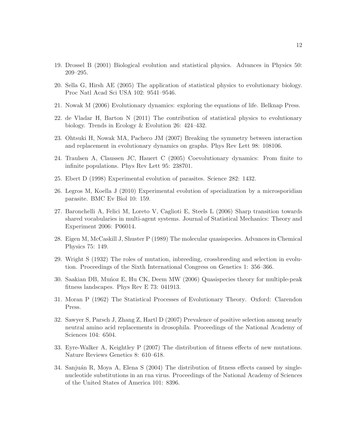- <span id="page-12-0"></span>19. Drossel B (2001) Biological evolution and statistical physics. Advances in Physics 50: 209–295.
- 20. Sella G, Hirsh AE (2005) The application of statistical physics to evolutionary biology. Proc Natl Acad Sci USA 102: 9541–9546.
- <span id="page-12-1"></span>21. Nowak M (2006) Evolutionary dynamics: exploring the equations of life. Belknap Press.
- <span id="page-12-2"></span>22. de Vladar H, Barton N (2011) The contribution of statistical physics to evolutionary biology. Trends in Ecology & Evolution 26: 424–432.
- <span id="page-12-3"></span>23. Ohtsuki H, Nowak MA, Pacheco JM (2007) Breaking the symmetry between interaction and replacement in evolutionary dynamics on graphs. Phys Rev Lett 98: 108106.
- <span id="page-12-4"></span>24. Traulsen A, Claussen JC, Hauert C (2005) Coevolutionary dynamics: From finite to infinite populations. Phys Rev Lett 95: 238701.
- <span id="page-12-5"></span>25. Ebert D (1998) Experimental evolution of parasites. Science 282: 1432.
- <span id="page-12-6"></span>26. Legros M, Koella J (2010) Experimental evolution of specialization by a microsporidian parasite. BMC Ev Biol 10: 159.
- 27. Baronchelli A, Felici M, Loreto V, Caglioti E, Steels L (2006) Sharp transition towards shared vocabularies in multi-agent systems. Journal of Statistical Mechanics: Theory and Experiment 2006: P06014.
- <span id="page-12-8"></span><span id="page-12-7"></span>28. Eigen M, McCaskill J, Shuster P (1989) The molecular quasispecies. Advances in Chemical Physics 75: 149.
- <span id="page-12-9"></span>29. Wright S (1932) The roles of mutation, inbreeding, crossbreeding and selection in evolution. Proceedings of the Sixth International Congress on Genetics 1: 356–366.
- <span id="page-12-10"></span>30. Saakian DB, Muñoz E, Hu CK, Deem MW (2006) Quasispecies theory for multiple-peak fitness landscapes. Phys Rev E 73: 041913.
- <span id="page-12-11"></span>31. Moran P (1962) The Statistical Processes of Evolutionary Theory. Oxford: Clarendon Press.
- 32. Sawyer S, Parsch J, Zhang Z, Hartl D (2007) Prevalence of positive selection among nearly neutral amino acid replacements in drosophila. Proceedings of the National Academy of Sciences 104: 6504.
- <span id="page-12-13"></span><span id="page-12-12"></span>33. Eyre-Walker A, Keightley P (2007) The distribution of fitness effects of new mutations. Nature Reviews Genetics 8: 610–618.
- 34. Sanjuán R, Moya A, Elena S  $(2004)$  The distribution of fitness effects caused by singlenucleotide substitutions in an rna virus. Proceedings of the National Academy of Sciences of the United States of America 101: 8396.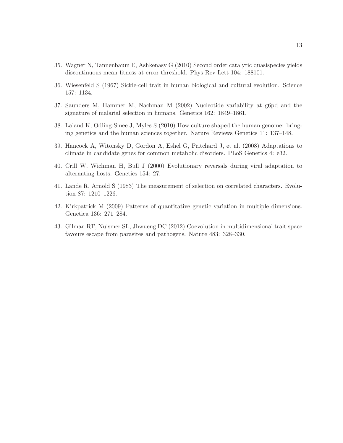- <span id="page-13-1"></span><span id="page-13-0"></span>35. Wagner N, Tannenbaum E, Ashkenasy G (2010) Second order catalytic quasispecies yields discontinuous mean fitness at error threshold. Phys Rev Lett 104: 188101.
- 36. Wiesenfeld S (1967) Sickle-cell trait in human biological and cultural evolution. Science 157: 1134.
- <span id="page-13-2"></span>37. Saunders M, Hammer M, Nachman M (2002) Nucleotide variability at g6pd and the signature of malarial selection in humans. Genetics 162: 1849–1861.
- <span id="page-13-3"></span>38. Laland K, Odling-Smee J, Myles S (2010) How culture shaped the human genome: bringing genetics and the human sciences together. Nature Reviews Genetics 11: 137–148.
- <span id="page-13-4"></span>39. Hancock A, Witonsky D, Gordon A, Eshel G, Pritchard J, et al. (2008) Adaptations to climate in candidate genes for common metabolic disorders. PLoS Genetics 4: e32.
- <span id="page-13-5"></span>40. Crill W, Wichman H, Bull J (2000) Evolutionary reversals during viral adaptation to alternating hosts. Genetics 154: 27.
- <span id="page-13-6"></span>41. Lande R, Arnold S (1983) The measurement of selection on correlated characters. Evolution 87: 1210–1226.
- <span id="page-13-7"></span>42. Kirkpatrick M (2009) Patterns of quantitative genetic variation in multiple dimensions. Genetica 136: 271–284.
- 43. Gilman RT, Nuismer SL, Jhwueng DC (2012) Coevolution in multidimensional trait space favours escape from parasites and pathogens. Nature 483: 328–330.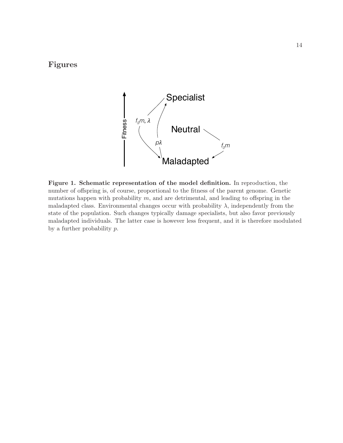## <span id="page-14-0"></span>Figures



Figure 1. Schematic representation of the model definition. In reproduction, the number of offspring is, of course, proportional to the fitness of the parent genome. Genetic mutations happen with probability  $m$ , and are detrimental, and leading to offspring in the maladapted class. Environmental changes occur with probability  $\lambda$ , independently from the state of the population. Such changes typically damage specialists, but also favor previously maladapted individuals. The latter case is however less frequent, and it is therefore modulated by a further probability p.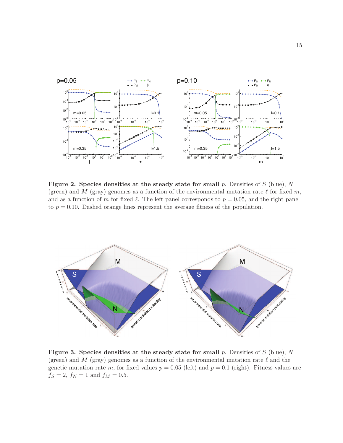<span id="page-15-0"></span>

Figure 2. Species densities at the steady state for small  $p$ . Densities of  $S$  (blue),  $N$ (green) and M (gray) genomes as a function of the environmental mutation rate  $\ell$  for fixed m, and as a function of m for fixed  $\ell$ . The left panel corresponds to  $p = 0.05$ , and the right panel to  $p = 0.10$ . Dashed orange lines represent the average fitness of the population.

<span id="page-15-1"></span>

Figure 3. Species densities at the steady state for small  $p$ . Densities of  $S$  (blue), N (green) and M (gray) genomes as a function of the environmental mutation rate  $\ell$  and the genetic mutation rate m, for fixed values  $p = 0.05$  (left) and  $p = 0.1$  (right). Fitness values are  $f_S = 2, f_N = 1$  and  $f_M = 0.5$ .